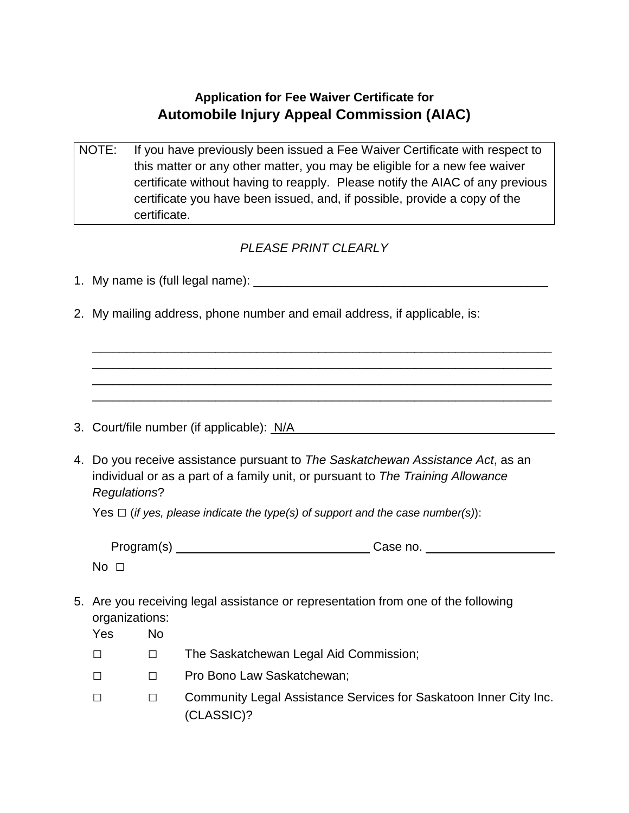## **Application for Fee Waiver Certificate for Automobile Injury Appeal Commission (AIAC)**

NOTE: If you have previously been issued a Fee Waiver Certificate with respect to this matter or any other matter, you may be eligible for a new fee waiver certificate without having to reapply. Please notify the AIAC of any previous certificate you have been issued, and, if possible, provide a copy of the certificate.

## *PLEASE PRINT CLEARLY*

\_\_\_\_\_\_\_\_\_\_\_\_\_\_\_\_\_\_\_\_\_\_\_\_\_\_\_\_\_\_\_\_\_\_\_\_\_\_\_\_\_\_\_\_\_\_\_\_\_\_\_\_\_\_\_\_\_\_\_\_\_\_\_\_\_\_\_ \_\_\_\_\_\_\_\_\_\_\_\_\_\_\_\_\_\_\_\_\_\_\_\_\_\_\_\_\_\_\_\_\_\_\_\_\_\_\_\_\_\_\_\_\_\_\_\_\_\_\_\_\_\_\_\_\_\_\_\_\_\_\_\_\_\_\_ \_\_\_\_\_\_\_\_\_\_\_\_\_\_\_\_\_\_\_\_\_\_\_\_\_\_\_\_\_\_\_\_\_\_\_\_\_\_\_\_\_\_\_\_\_\_\_\_\_\_\_\_\_\_\_\_\_\_\_\_\_\_\_\_\_\_\_ \_\_\_\_\_\_\_\_\_\_\_\_\_\_\_\_\_\_\_\_\_\_\_\_\_\_\_\_\_\_\_\_\_\_\_\_\_\_\_\_\_\_\_\_\_\_\_\_\_\_\_\_\_\_\_\_\_\_\_\_\_\_\_\_\_\_\_

- 1. My name is (full legal name): \_\_\_\_\_\_\_\_\_\_\_\_\_\_\_\_\_\_\_\_\_\_\_\_\_\_\_\_\_\_\_\_\_\_\_\_\_\_\_\_\_\_\_
- 2. My mailing address, phone number and email address, if applicable, is:

- 3. Court/file number (if applicable): N/A
- 4. Do you receive assistance pursuant to *The Saskatchewan Assistance Act*, as an individual or as a part of a family unit, or pursuant to *The Training Allowance Regulations*?

Yes □ (*if yes, please indicate the type(s) of support and the case number(s)*):

| Program(s)  | Case no. |
|-------------|----------|
| $No$ $\Box$ |          |

5. Are you receiving legal assistance or representation from one of the following organizations:

| Yes    | No |                                                                                 |
|--------|----|---------------------------------------------------------------------------------|
| $\Box$ |    | The Saskatchewan Legal Aid Commission;                                          |
| $\Box$ |    | Pro Bono Law Saskatchewan;                                                      |
| П      |    | Community Legal Assistance Services for Saskatoon Inner City Inc.<br>(CLASSIC)? |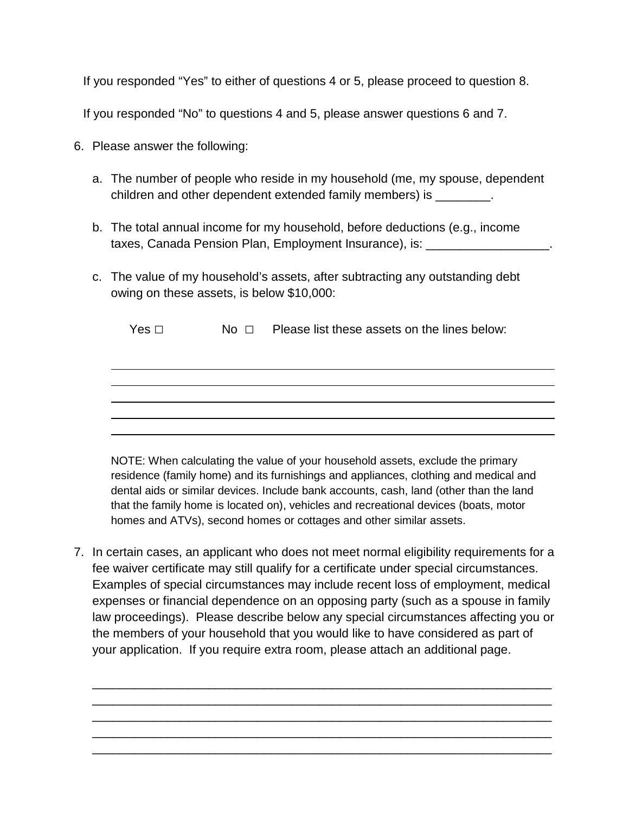If you responded "Yes" to either of questions 4 or 5, please proceed to question 8.

If you responded "No" to questions 4 and 5, please answer questions 6 and 7.

- 6. Please answer the following:
	- a. The number of people who reside in my household (me, my spouse, dependent children and other dependent extended family members) is \_\_\_\_\_\_\_\_.
	- b. The total annual income for my household, before deductions (e.g., income taxes, Canada Pension Plan, Employment Insurance), is: \_\_\_\_\_\_\_\_\_\_\_\_\_\_\_\_\_\_.
	- c. The value of my household's assets, after subtracting any outstanding debt owing on these assets, is below \$10,000:

|  | Yes □ | No $\square$ | Please list these assets on the lines below: |
|--|-------|--------------|----------------------------------------------|
|--|-------|--------------|----------------------------------------------|

NOTE: When calculating the value of your household assets, exclude the primary residence (family home) and its furnishings and appliances, clothing and medical and dental aids or similar devices. Include bank accounts, cash, land (other than the land that the family home is located on), vehicles and recreational devices (boats, motor homes and ATVs), second homes or cottages and other similar assets.

7. In certain cases, an applicant who does not meet normal eligibility requirements for a fee waiver certificate may still qualify for a certificate under special circumstances. Examples of special circumstances may include recent loss of employment, medical expenses or financial dependence on an opposing party (such as a spouse in family law proceedings). Please describe below any special circumstances affecting you or the members of your household that you would like to have considered as part of your application. If you require extra room, please attach an additional page.

\_\_\_\_\_\_\_\_\_\_\_\_\_\_\_\_\_\_\_\_\_\_\_\_\_\_\_\_\_\_\_\_\_\_\_\_\_\_\_\_\_\_\_\_\_\_\_\_\_\_\_\_\_\_\_\_\_\_\_\_\_\_\_\_\_\_\_ \_\_\_\_\_\_\_\_\_\_\_\_\_\_\_\_\_\_\_\_\_\_\_\_\_\_\_\_\_\_\_\_\_\_\_\_\_\_\_\_\_\_\_\_\_\_\_\_\_\_\_\_\_\_\_\_\_\_\_\_\_\_\_\_\_\_\_ \_\_\_\_\_\_\_\_\_\_\_\_\_\_\_\_\_\_\_\_\_\_\_\_\_\_\_\_\_\_\_\_\_\_\_\_\_\_\_\_\_\_\_\_\_\_\_\_\_\_\_\_\_\_\_\_\_\_\_\_\_\_\_\_\_\_\_ \_\_\_\_\_\_\_\_\_\_\_\_\_\_\_\_\_\_\_\_\_\_\_\_\_\_\_\_\_\_\_\_\_\_\_\_\_\_\_\_\_\_\_\_\_\_\_\_\_\_\_\_\_\_\_\_\_\_\_\_\_\_\_\_\_\_\_ \_\_\_\_\_\_\_\_\_\_\_\_\_\_\_\_\_\_\_\_\_\_\_\_\_\_\_\_\_\_\_\_\_\_\_\_\_\_\_\_\_\_\_\_\_\_\_\_\_\_\_\_\_\_\_\_\_\_\_\_\_\_\_\_\_\_\_